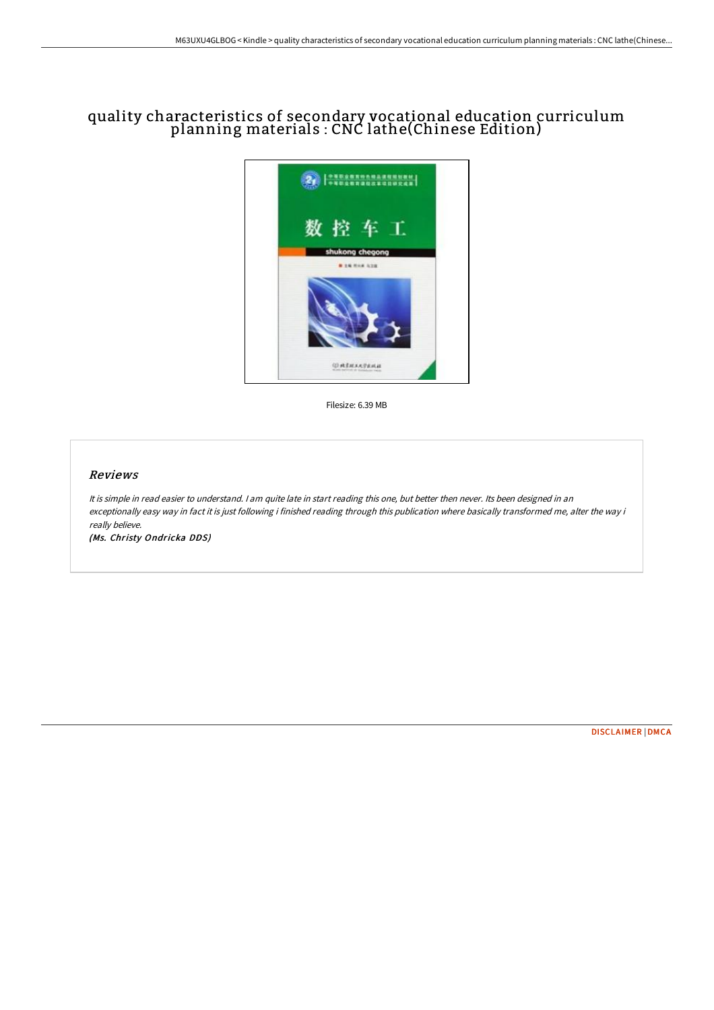## quality characteristics of secondary vocational education curriculum planning materials : CNC lathe(Chinese Edition)



Filesize: 6.39 MB

## Reviews

It is simple in read easier to understand. I am quite late in start reading this one, but better then never. Its been designed in an exceptionally easy way in fact it is just following i finished reading through this publication where basically transformed me, alter the way i really believe.

(Ms. Christy Ondricka DDS)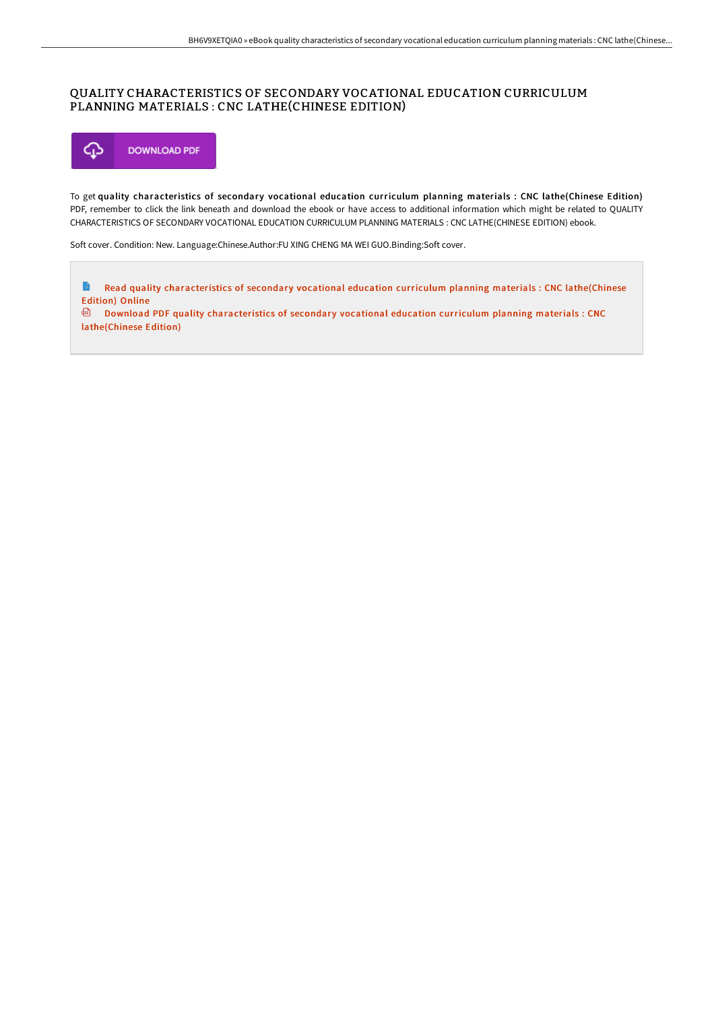## QUALITY CHARACTERISTICS OF SECONDARY VOCATIONAL EDUCATION CURRICULUM PLANNING MATERIALS : CNC LATHE(CHINESE EDITION)



To get quality characteristics of secondary vocational education curriculum planning materials : CNC lathe(Chinese Edition) PDF, remember to click the link beneath and download the ebook or have access to additional information which might be related to QUALITY CHARACTERISTICS OF SECONDARY VOCATIONAL EDUCATION CURRICULUM PLANNING MATERIALS : CNC LATHE(CHINESE EDITION) ebook.

Soft cover. Condition: New. Language:Chinese.Author:FU XING CHENG MA WEI GUO.Binding:Soft cover.